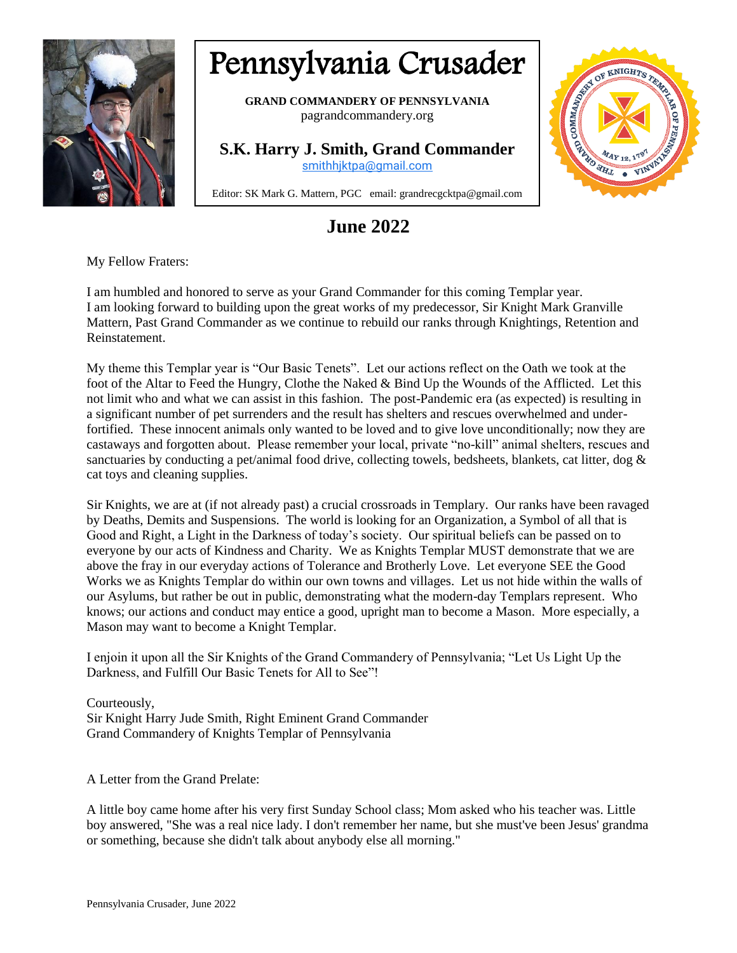

## Pennsylvania Crusader

**GRAND COMMANDERY OF PENNSYLVANIA** pagrandcommandery.org

**S.K. Harry J. Smith, Grand Commander** [smithhjktpa@gmail.com](mailto:smithhjktpa@gmail.com)



## **June 2022**

My Fellow Fraters:

I am humbled and honored to serve as your Grand Commander for this coming Templar year. I am looking forward to building upon the great works of my predecessor, Sir Knight Mark Granville Mattern, Past Grand Commander as we continue to rebuild our ranks through Knightings, Retention and Reinstatement.

My theme this Templar year is "Our Basic Tenets". Let our actions reflect on the Oath we took at the foot of the Altar to Feed the Hungry, Clothe the Naked & Bind Up the Wounds of the Afflicted. Let this not limit who and what we can assist in this fashion. The post-Pandemic era (as expected) is resulting in a significant number of pet surrenders and the result has shelters and rescues overwhelmed and underfortified. These innocent animals only wanted to be loved and to give love unconditionally; now they are castaways and forgotten about. Please remember your local, private "no-kill" animal shelters, rescues and sanctuaries by conducting a pet/animal food drive, collecting towels, bedsheets, blankets, cat litter, dog & cat toys and cleaning supplies.

Sir Knights, we are at (if not already past) a crucial crossroads in Templary. Our ranks have been ravaged by Deaths, Demits and Suspensions. The world is looking for an Organization, a Symbol of all that is Good and Right, a Light in the Darkness of today's society. Our spiritual beliefs can be passed on to everyone by our acts of Kindness and Charity. We as Knights Templar MUST demonstrate that we are above the fray in our everyday actions of Tolerance and Brotherly Love. Let everyone SEE the Good Works we as Knights Templar do within our own towns and villages. Let us not hide within the walls of our Asylums, but rather be out in public, demonstrating what the modern-day Templars represent. Who knows; our actions and conduct may entice a good, upright man to become a Mason. More especially, a Mason may want to become a Knight Templar.

I enjoin it upon all the Sir Knights of the Grand Commandery of Pennsylvania; "Let Us Light Up the Darkness, and Fulfill Our Basic Tenets for All to See"!

Courteously, Sir Knight Harry Jude Smith, Right Eminent Grand Commander Grand Commandery of Knights Templar of Pennsylvania

A Letter from the Grand Prelate:

A little boy came home after his very first Sunday School class; Mom asked who his teacher was. Little boy answered, "She was a real nice lady. I don't remember her name, but she must've been Jesus' grandma or something, because she didn't talk about anybody else all morning."